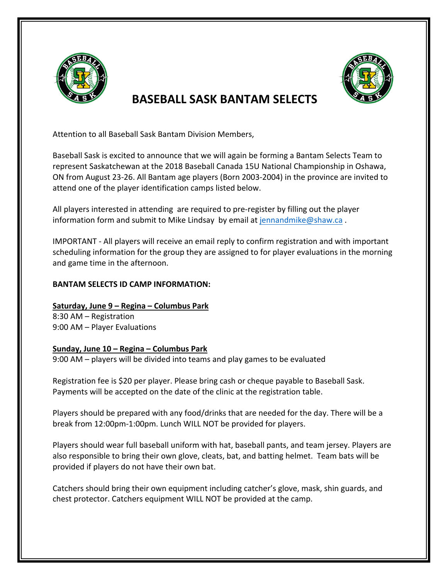

## **RASEBALL SASK BANTAM SELECTS**

Attention to all Baseball Sask Bantam Division Members,

Baseball Sask is excited to announce that we will again be forming a Bantam Selects Team to represent Saskatchewan at the 2018 Baseball Canada 15U National Championship in Oshawa, ON from August 23-26. All Bantam age players (Born 2003-2004) in the province are invited to attend one of the player identification camps listed below.

All players interested in attending are required to pre-register by filling out the player information form and submit to Mike Lindsay by email at jennandmike@shaw.ca.

IMPORTANT - All players will receive an email reply to confirm registration and with important scheduling information for the group they are assigned to for player evaluations in the morning and game time in the afternoon.

## **BANTAM SELECTS ID CAMP INFORMATION:**

**Saturday, June 9 – Regina – Columbus Park** 8:30 AM – Registration 9:00 AM – Player Evaluations

## **Sunday, June 10 – Regina – Columbus Park**

9:00 AM – players will be divided into teams and play games to be evaluated

Registration fee is \$20 per player. Please bring cash or cheque payable to Baseball Sask. Payments will be accepted on the date of the clinic at the registration table.

Players should be prepared with any food/drinks that are needed for the day. There will be a break from 12:00pm-1:00pm. Lunch WILL NOT be provided for players.

Players should wear full baseball uniform with hat, baseball pants, and team jersey. Players are also responsible to bring their own glove, cleats, bat, and batting helmet. Team bats will be provided if players do not have their own bat.

Catchers should bring their own equipment including catcher's glove, mask, shin guards, and chest protector. Catchers equipment WILL NOT be provided at the camp.